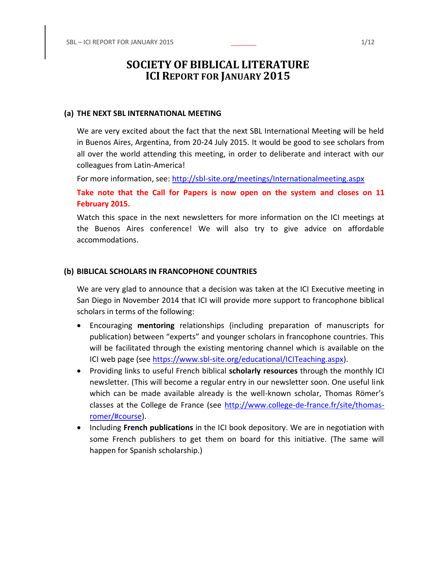# **SOCIETY OF BIBLICAL LITERATURE ICI REPORT FOR JANUARY 2015**

## **(a) THE NEXT SBL INTERNATIONAL MEETING**

We are very excited about the fact that the next SBL International Meeting will be held in Buenos Aires, Argentina, from 20-24 July 2015. It would be good to see scholars from all over the world attending this meeting, in order to deliberate and interact with our colleagues from Latin-America!

For more information, see:<http://sbl-site.org/meetings/Internationalmeeting.aspx>

**Take note that the Call for Papers is now open on the system and closes on 11 February 2015.**

Watch this space in the next newsletters for more information on the ICI meetings at the Buenos Aires conference! We will also try to give advice on affordable accommodations.

## **(b) BIBLICAL SCHOLARS IN FRANCOPHONE COUNTRIES**

We are very glad to announce that a decision was taken at the ICI Executive meeting in San Diego in November 2014 that ICI will provide more support to francophone biblical scholars in terms of the following:

- Encouraging **mentoring** relationships (including preparation of manuscripts for publication) between "experts" and younger scholars in francophone countries. This will be facilitated through the existing mentoring channel which is available on the ICI web page (see [https://www.sbl-site.org/educational/ICITeaching.aspx\)](https://www.sbl-site.org/educational/ICITeaching.aspx).
- Providing links to useful French biblical **scholarly resources** through the monthly ICI newsletter. (This will become a regular entry in our newsletter soon. One useful link which can be made available already is the well-known scholar, Thomas Römer's classes at the College de France (see [http://www.college-de-france.fr/site/thomas](http://www.college-de-france.fr/site/thomas-romer/#course)[romer/#course\)](http://www.college-de-france.fr/site/thomas-romer/#course).
- **•** Including French publications in the ICI book depository. We are in negotiation with some French publishers to get them on board for this initiative. (The same will happen for Spanish scholarship.)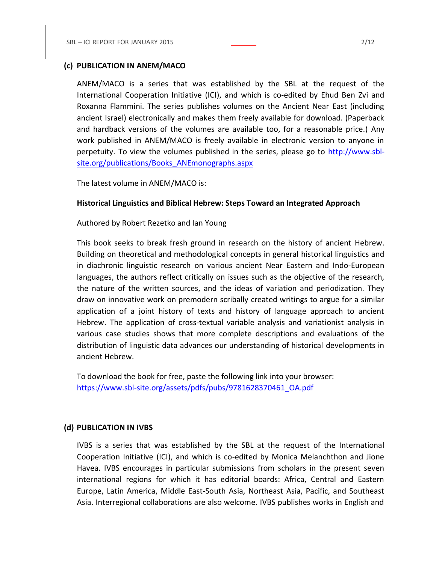## **(c) PUBLICATION IN ANEM/MACO**

ANEM/MACO is a series that was established by the SBL at the request of the International Cooperation Initiative (ICI), and which is co-edited by Ehud Ben Zvi and Roxanna Flammini. The series publishes volumes on the Ancient Near East (including ancient Israel) electronically and makes them freely available for download. (Paperback and hardback versions of the volumes are available too, for a reasonable price.) Any work published in ANEM/MACO is freely available in electronic version to anyone in perpetuity. To view the volumes published in the series, please go to [http://www.sbl](http://www.sbl-site.org/publications/Books_ANEmonographs.aspx)[site.org/publications/Books\\_ANEmonographs.aspx](http://www.sbl-site.org/publications/Books_ANEmonographs.aspx)

The latest volume in ANEM/MACO is:

## **Historical Linguistics and Biblical Hebrew: Steps Toward an Integrated Approach**

Authored by Robert Rezetko and Ian Young

This book seeks to break fresh ground in research on the history of ancient Hebrew. Building on theoretical and methodological concepts in general historical linguistics and in diachronic linguistic research on various ancient Near Eastern and Indo-European languages, the authors reflect critically on issues such as the objective of the research, the nature of the written sources, and the ideas of variation and periodization. They draw on innovative work on premodern scribally created writings to argue for a similar application of a joint history of texts and history of language approach to ancient Hebrew. The application of cross-textual variable analysis and variationist analysis in various case studies shows that more complete descriptions and evaluations of the distribution of linguistic data advances our understanding of historical developments in ancient Hebrew.

To download the book for free, paste the following link into your browser: [https://www.sbl-site.org/assets/pdfs/pubs/9781628370461\\_OA.pdf](https://www.sbl-site.org/assets/pdfs/pubs/9781628370461_OA.pdf)

### **(d) PUBLICATION IN IVBS**

IVBS is a series that was established by the SBL at the request of the International Cooperation Initiative (ICI), and which is co-edited by Monica Melanchthon and Jione Havea. IVBS encourages in particular submissions from scholars in the present seven international regions for which it has editorial boards: Africa, Central and Eastern Europe, Latin America, Middle East-South Asia, Northeast Asia, Pacific, and Southeast Asia. Interregional collaborations are also welcome. IVBS publishes works in English and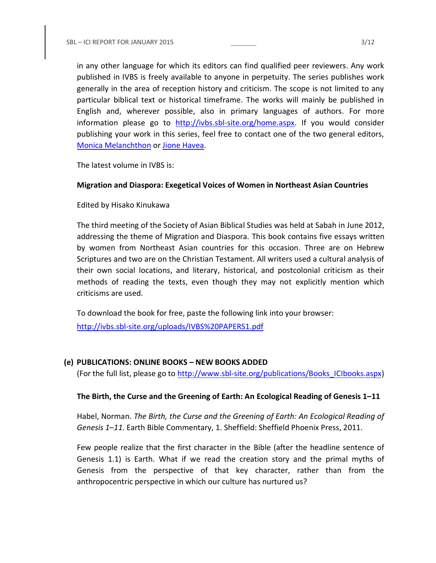in any other language for which its editors can find qualified peer reviewers. Any work published in IVBS is freely available to anyone in perpetuity. The series publishes work generally in the area of reception history and criticism. The scope is not limited to any particular biblical text or historical timeframe. The works will mainly be published in English and, wherever possible, also in primary languages of authors. For more information please go to [http://ivbs.sbl-site.org/home.aspx.](http://ivbs.sbl-site.org/home.aspx) If you would consider publishing your work in this series, feel free to contact one of the two general editors, [Monica Melanchthon](mailto:ivbs2010@gmail.com) or [Jione Havea.](mailto:jioneh@nsw.uca.org.au)

The latest volume in IVBS is:

### **Migration and Diaspora: Exegetical Voices of Women in Northeast Asian Countries**

Edited by Hisako Kinukawa

The third meeting of the Society of Asian Biblical Studies was held at Sabah in June 2012, addressing the theme of Migration and Diaspora. This book contains five essays written by women from Northeast Asian countries for this occasion. Three are on Hebrew Scriptures and two are on the Christian Testament. All writers used a cultural analysis of their own social locations, and literary, historical, and postcolonial criticism as their methods of reading the texts, even though they may not explicitly mention which criticisms are used.

To download the book for free, paste the following link into your browser:

<http://ivbs.sbl-site.org/uploads/IVBS%20PAPERS1.pdf>

### **(e) PUBLICATIONS: ONLINE BOOKS – NEW BOOKS ADDED**

(For the full list, please go to [http://www.sbl-site.org/publications/Books\\_ICIbooks.aspx\)](http://www.sbl-site.org/publications/Books_ICIbooks.aspx)

### **The Birth, the Curse and the Greening of Earth: An Ecological Reading of Genesis 1–11**

Habel, Norman. *The Birth, the Curse and the Greening of Earth: An Ecological Reading of Genesis 1–11.* Earth Bible Commentary, 1. Sheffield: Sheffield Phoenix Press, 2011.

Few people realize that the first character in the Bible (after the headline sentence of Genesis 1.1) is Earth. What if we read the creation story and the primal myths of Genesis from the perspective of that key character, rather than from the anthropocentric perspective in which our culture has nurtured us?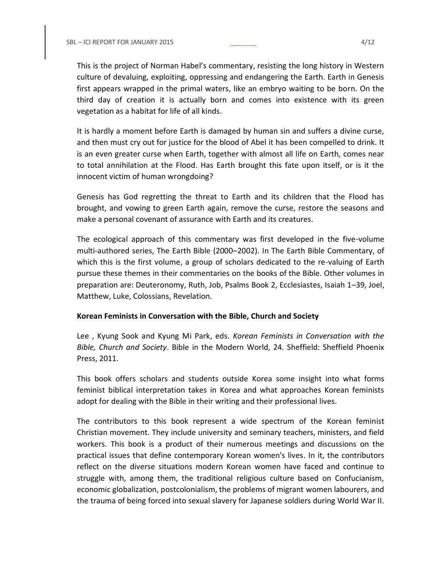This is the project of Norman Habel's commentary, resisting the long history in Western culture of devaluing, exploiting, oppressing and endangering the Earth. Earth in Genesis first appears wrapped in the primal waters, like an embryo waiting to be born. On the third day of creation it is actually born and comes into existence with its green vegetation as a habitat for life of all kinds.

It is hardly a moment before Earth is damaged by human sin and suffers a divine curse, and then must cry out for justice for the blood of Abel it has been compelled to drink. It is an even greater curse when Earth, together with almost all life on Earth, comes near to total annihilation at the Flood. Has Earth brought this fate upon itself, or is it the innocent victim of human wrongdoing?

Genesis has God regretting the threat to Earth and its children that the Flood has brought, and vowing to green Earth again, remove the curse, restore the seasons and make a personal covenant of assurance with Earth and its creatures.

The ecological approach of this commentary was first developed in the five-volume multi-authored series, The Earth Bible (2000–2002). In The Earth Bible Commentary, of which this is the first volume, a group of scholars dedicated to the re-valuing of Earth pursue these themes in their commentaries on the books of the Bible. Other volumes in preparation are: Deuteronomy, Ruth, Job, Psalms Book 2, Ecclesiastes, Isaiah 1–39, Joel, Matthew, Luke, Colossians, Revelation.

### **Korean Feminists in Conversation with the Bible, Church and Society**

Lee , Kyung Sook and Kyung Mi Park, eds. *Korean Feminists in Conversation with the Bible, Church and Society*. Bible in the Modern World, 24. Sheffield: Sheffield Phoenix Press, 2011.

This book offers scholars and students outside Korea some insight into what forms feminist biblical interpretation takes in Korea and what approaches Korean feminists adopt for dealing with the Bible in their writing and their professional lives.

The contributors to this book represent a wide spectrum of the Korean feminist Christian movement. They include university and seminary teachers, ministers, and field workers. This book is a product of their numerous meetings and discussions on the practical issues that define contemporary Korean women's lives. In it, the contributors reflect on the diverse situations modern Korean women have faced and continue to struggle with, among them, the traditional religious culture based on Confucianism, economic globalization, postcolonialism, the problems of migrant women labourers, and the trauma of being forced into sexual slavery for Japanese soldiers during World War II.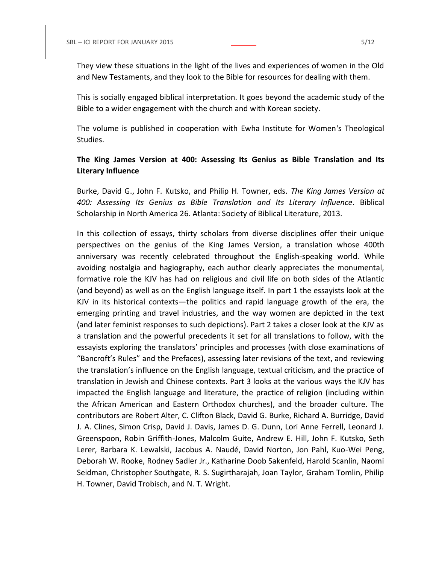They view these situations in the light of the lives and experiences of women in the Old and New Testaments, and they look to the Bible for resources for dealing with them.

This is socially engaged biblical interpretation. It goes beyond the academic study of the Bible to a wider engagement with the church and with Korean society.

The volume is published in cooperation with Ewha Institute for Women's Theological Studies.

# **The King James Version at 400: Assessing Its Genius as Bible Translation and Its Literary Influence**

Burke, David G., John F. Kutsko, and Philip H. Towner, eds. *The King James Version at 400: Assessing Its Genius as Bible Translation and Its Literary Influence*. Biblical Scholarship in North America 26. Atlanta: Society of Biblical Literature, 2013.

In this collection of essays, thirty scholars from diverse disciplines offer their unique perspectives on the genius of the King James Version, a translation whose 400th anniversary was recently celebrated throughout the English-speaking world. While avoiding nostalgia and hagiography, each author clearly appreciates the monumental, formative role the KJV has had on religious and civil life on both sides of the Atlantic (and beyond) as well as on the English language itself. In part 1 the essayists look at the KJV in its historical contexts—the politics and rapid language growth of the era, the emerging printing and travel industries, and the way women are depicted in the text (and later feminist responses to such depictions). Part 2 takes a closer look at the KJV as a translation and the powerful precedents it set for all translations to follow, with the essayists exploring the translators' principles and processes (with close examinations of "Bancroft's Rules" and the Prefaces), assessing later revisions of the text, and reviewing the translation's influence on the English language, textual criticism, and the practice of translation in Jewish and Chinese contexts. Part 3 looks at the various ways the KJV has impacted the English language and literature, the practice of religion (including within the African American and Eastern Orthodox churches), and the broader culture. The contributors are Robert Alter, C. Clifton Black, David G. Burke, Richard A. Burridge, David J. A. Clines, Simon Crisp, David J. Davis, James D. G. Dunn, Lori Anne Ferrell, Leonard J. Greenspoon, Robin Griffith-Jones, Malcolm Guite, Andrew E. Hill, John F. Kutsko, Seth Lerer, Barbara K. Lewalski, Jacobus A. Naudé, David Norton, Jon Pahl, Kuo-Wei Peng, Deborah W. Rooke, Rodney Sadler Jr., Katharine Doob Sakenfeld, Harold Scanlin, Naomi Seidman, Christopher Southgate, R. S. Sugirtharajah, Joan Taylor, Graham Tomlin, Philip H. Towner, David Trobisch, and N. T. Wright.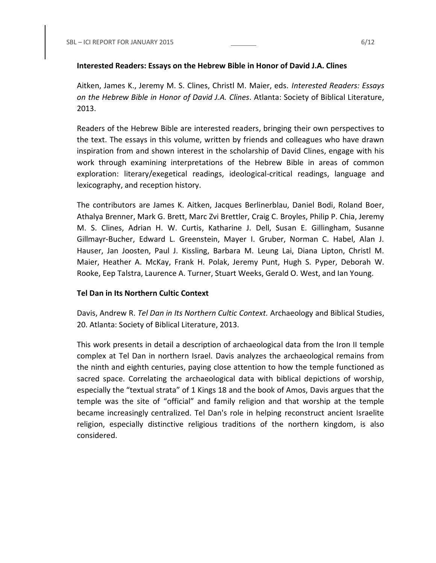## **Interested Readers: Essays on the Hebrew Bible in Honor of David J.A. Clines**

Aitken, James K., Jeremy M. S. Clines, Christl M. Maier, eds. *Interested Readers: Essays on the Hebrew Bible in Honor of David J.A. Clines*. Atlanta: Society of Biblical Literature, 2013.

Readers of the Hebrew Bible are interested readers, bringing their own perspectives to the text. The essays in this volume, written by friends and colleagues who have drawn inspiration from and shown interest in the scholarship of David Clines, engage with his work through examining interpretations of the Hebrew Bible in areas of common exploration: literary/exegetical readings, ideological-critical readings, language and lexicography, and reception history.

The contributors are James K. Aitken, Jacques Berlinerblau, Daniel Bodi, Roland Boer, Athalya Brenner, Mark G. Brett, Marc Zvi Brettler, Craig C. Broyles, Philip P. Chia, Jeremy M. S. Clines, Adrian H. W. Curtis, Katharine J. Dell, Susan E. Gillingham, Susanne Gillmayr-Bucher, Edward L. Greenstein, Mayer I. Gruber, Norman C. Habel, Alan J. Hauser, Jan Joosten, Paul J. Kissling, Barbara M. Leung Lai, Diana Lipton, Christl M. Maier, Heather A. McKay, Frank H. Polak, Jeremy Punt, Hugh S. Pyper, Deborah W. Rooke, Eep Talstra, Laurence A. Turner, Stuart Weeks, Gerald O. West, and Ian Young.

## **Tel Dan in Its Northern Cultic Context**

Davis, Andrew R. *Tel Dan in Its Northern Cultic Context.* Archaeology and Biblical Studies, 20. Atlanta: Society of Biblical Literature, 2013.

This work presents in detail a description of archaeological data from the Iron II temple complex at Tel Dan in northern Israel. Davis analyzes the archaeological remains from the ninth and eighth centuries, paying close attention to how the temple functioned as sacred space. Correlating the archaeological data with biblical depictions of worship, especially the "textual strata" of 1 Kings 18 and the book of Amos, Davis argues that the temple was the site of "official" and family religion and that worship at the temple became increasingly centralized. Tel Dan's role in helping reconstruct ancient Israelite religion, especially distinctive religious traditions of the northern kingdom, is also considered.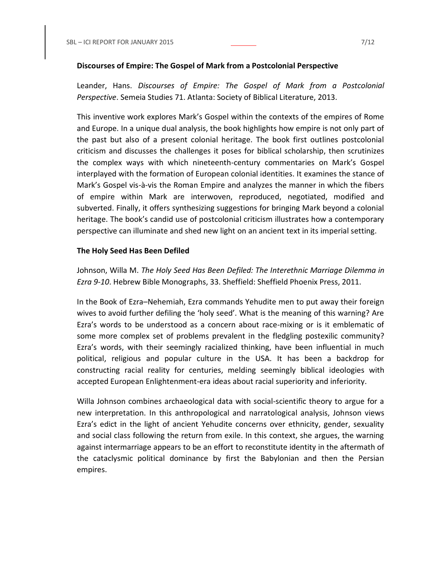#### **Discourses of Empire: The Gospel of Mark from a Postcolonial Perspective**

Leander, Hans. *Discourses of Empire: The Gospel of Mark from a Postcolonial Perspective*. Semeia Studies 71. Atlanta: Society of Biblical Literature, 2013.

This inventive work explores Mark's Gospel within the contexts of the empires of Rome and Europe. In a unique dual analysis, the book highlights how empire is not only part of the past but also of a present colonial heritage. The book first outlines postcolonial criticism and discusses the challenges it poses for biblical scholarship, then scrutinizes the complex ways with which nineteenth-century commentaries on Mark's Gospel interplayed with the formation of European colonial identities. It examines the stance of Mark's Gospel vis-à-vis the Roman Empire and analyzes the manner in which the fibers of empire within Mark are interwoven, reproduced, negotiated, modified and subverted. Finally, it offers synthesizing suggestions for bringing Mark beyond a colonial heritage. The book's candid use of postcolonial criticism illustrates how a contemporary perspective can illuminate and shed new light on an ancient text in its imperial setting.

### **The Holy Seed Has Been Defiled**

Johnson, Willa M. *The Holy Seed Has Been Defiled: The Interethnic Marriage Dilemma in Ezra 9-10*. Hebrew Bible Monographs, 33. Sheffield: Sheffield Phoenix Press, 2011.

In the Book of Ezra–Nehemiah, Ezra commands Yehudite men to put away their foreign wives to avoid further defiling the 'holy seed'. What is the meaning of this warning? Are Ezra's words to be understood as a concern about race-mixing or is it emblematic of some more complex set of problems prevalent in the fledgling postexilic community? Ezra's words, with their seemingly racialized thinking, have been influential in much political, religious and popular culture in the USA. It has been a backdrop for constructing racial reality for centuries, melding seemingly biblical ideologies with accepted European Enlightenment-era ideas about racial superiority and inferiority.

Willa Johnson combines archaeological data with social-scientific theory to argue for a new interpretation. In this anthropological and narratological analysis, Johnson views Ezra's edict in the light of ancient Yehudite concerns over ethnicity, gender, sexuality and social class following the return from exile. In this context, she argues, the warning against intermarriage appears to be an effort to reconstitute identity in the aftermath of the cataclysmic political dominance by first the Babylonian and then the Persian empires.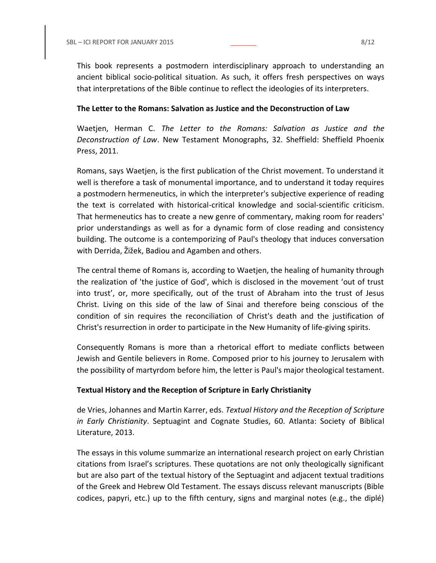This book represents a postmodern interdisciplinary approach to understanding an ancient biblical socio-political situation. As such, it offers fresh perspectives on ways that interpretations of the Bible continue to reflect the ideologies of its interpreters.

## **The Letter to the Romans: Salvation as Justice and the Deconstruction of Law**

Waetjen, Herman C. *The Letter to the Romans: Salvation as Justice and the Deconstruction of Law*. New Testament Monographs, 32. Sheffield: Sheffield Phoenix Press, 2011.

Romans, says Waetjen, is the first publication of the Christ movement. To understand it well is therefore a task of monumental importance, and to understand it today requires a postmodern hermeneutics, in which the interpreter's subjective experience of reading the text is correlated with historical-critical knowledge and social-scientific criticism. That hermeneutics has to create a new genre of commentary, making room for readers' prior understandings as well as for a dynamic form of close reading and consistency building. The outcome is a contemporizing of Paul's theology that induces conversation with Derrida, Žižek, Badiou and Agamben and others.

The central theme of Romans is, according to Waetjen, the healing of humanity through the realization of 'the justice of God', which is disclosed in the movement 'out of trust into trust', or, more specifically, out of the trust of Abraham into the trust of Jesus Christ. Living on this side of the law of Sinai and therefore being conscious of the condition of sin requires the reconciliation of Christ's death and the justification of Christ's resurrection in order to participate in the New Humanity of life-giving spirits.

Consequently Romans is more than a rhetorical effort to mediate conflicts between Jewish and Gentile believers in Rome. Composed prior to his journey to Jerusalem with the possibility of martyrdom before him, the letter is Paul's major theological testament.

## **Textual History and the Reception of Scripture in Early Christianity**

de Vries, Johannes and Martin Karrer, eds. *Textual History and the Reception of Scripture in Early Christianity*. Septuagint and Cognate Studies, 60. Atlanta: Society of Biblical Literature, 2013.

The essays in this volume summarize an international research project on early Christian citations from Israel's scriptures. These quotations are not only theologically significant but are also part of the textual history of the Septuagint and adjacent textual traditions of the Greek and Hebrew Old Testament. The essays discuss relevant manuscripts (Bible codices, papyri, etc.) up to the fifth century, signs and marginal notes (e.g., the diplé)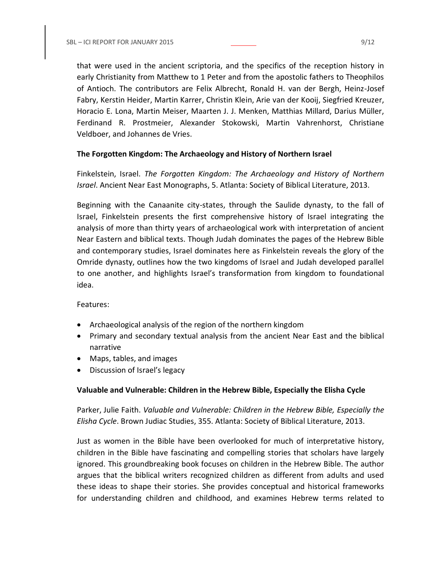that were used in the ancient scriptoria, and the specifics of the reception history in early Christianity from Matthew to 1 Peter and from the apostolic fathers to Theophilos of Antioch. The contributors are Felix Albrecht, Ronald H. van der Bergh, Heinz-Josef Fabry, Kerstin Heider, Martin Karrer, Christin Klein, Arie van der Kooij, Siegfried Kreuzer, Horacio E. Lona, Martin Meiser, Maarten J. J. Menken, Matthias Millard, Darius Müller, Ferdinand R. Prostmeier, Alexander Stokowski, Martin Vahrenhorst, Christiane Veldboer, and Johannes de Vries.

## **The Forgotten Kingdom: The Archaeology and History of Northern Israel**

Finkelstein, Israel. *The Forgotten Kingdom: The Archaeology and History of Northern Israel*. Ancient Near East Monographs, 5. Atlanta: Society of Biblical Literature, 2013.

Beginning with the Canaanite city-states, through the Saulide dynasty, to the fall of Israel, Finkelstein presents the first comprehensive history of Israel integrating the analysis of more than thirty years of archaeological work with interpretation of ancient Near Eastern and biblical texts. Though Judah dominates the pages of the Hebrew Bible and contemporary studies, Israel dominates here as Finkelstein reveals the glory of the Omride dynasty, outlines how the two kingdoms of Israel and Judah developed parallel to one another, and highlights Israel's transformation from kingdom to foundational idea.

Features:

- Archaeological analysis of the region of the northern kingdom
- Primary and secondary textual analysis from the ancient Near East and the biblical narrative
- Maps, tables, and images
- Discussion of Israel's legacy

## **Valuable and Vulnerable: Children in the Hebrew Bible, Especially the Elisha Cycle**

Parker, Julie Faith. *Valuable and Vulnerable: Children in the Hebrew Bible, Especially the Elisha Cycle*. Brown Judiac Studies, 355. Atlanta: Society of Biblical Literature, 2013.

Just as women in the Bible have been overlooked for much of interpretative history, children in the Bible have fascinating and compelling stories that scholars have largely ignored. This groundbreaking book focuses on children in the Hebrew Bible. The author argues that the biblical writers recognized children as different from adults and used these ideas to shape their stories. She provides conceptual and historical frameworks for understanding children and childhood, and examines Hebrew terms related to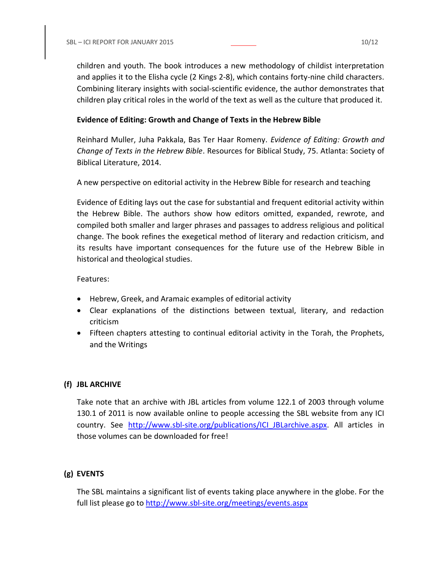children and youth. The book introduces a new methodology of childist interpretation and applies it to the Elisha cycle (2 Kings 2-8), which contains forty-nine child characters. Combining literary insights with social-scientific evidence, the author demonstrates that children play critical roles in the world of the text as well as the culture that produced it.

## **Evidence of Editing: Growth and Change of Texts in the Hebrew Bible**

Reinhard Muller, Juha Pakkala, Bas Ter Haar Romeny. *Evidence of Editing: Growth and Change of Texts in the Hebrew Bible*. Resources for Biblical Study, 75. Atlanta: Society of Biblical Literature, 2014.

A new perspective on editorial activity in the Hebrew Bible for research and teaching

Evidence of Editing lays out the case for substantial and frequent editorial activity within the Hebrew Bible. The authors show how editors omitted, expanded, rewrote, and compiled both smaller and larger phrases and passages to address religious and political change. The book refines the exegetical method of literary and redaction criticism, and its results have important consequences for the future use of the Hebrew Bible in historical and theological studies.

## Features:

- Hebrew, Greek, and Aramaic examples of editorial activity
- Clear explanations of the distinctions between textual, literary, and redaction criticism
- Fifteen chapters attesting to continual editorial activity in the Torah, the Prophets, and the Writings

# **(f) JBL ARCHIVE**

Take note that an archive with JBL articles from volume 122.1 of 2003 through volume 130.1 of 2011 is now available online to people accessing the SBL website from any ICI country. See http://www.sbl-site.org/publications/ICI JBLarchive.aspx. All articles in those volumes can be downloaded for free!

# **(g) EVENTS**

The SBL maintains a significant list of events taking place anywhere in the globe. For the full list please go to<http://www.sbl-site.org/meetings/events.aspx>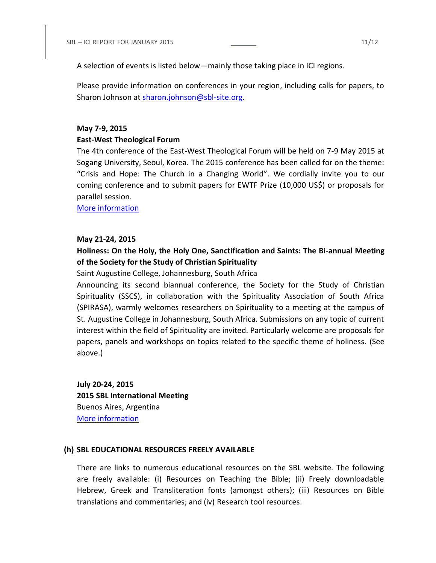A selection of events is listed below—mainly those taking place in ICI regions.

Please provide information on conferences in your region, including calls for papers, to Sharon Johnson at [sharon.johnson@sbl-site.org.](mailto:sharon.johnson@sbl-site.org)

### **May 7-9, 2015**

#### **East-West Theological Forum**

The 4th conference of the East-West Theological Forum will be held on 7-9 May 2015 at Sogang University, Seoul, Korea. The 2015 conference has been called for on the theme: "Crisis and Hope: The Church in a Changing World". We cordially invite you to our coming conference and to submit papers for EWTF Prize (10,000 US\$) or proposals for parallel session.

[More information](http://www.ewtfr.org/)

#### **May 21-24, 2015**

# **Holiness: On the Holy, the Holy One, Sanctification and Saints: The Bi-annual Meeting of the Society for the Study of Christian Spirituality**

### Saint Augustine College, Johannesburg, South Africa

Announcing its second biannual conference, the Society for the Study of Christian Spirituality (SSCS), in collaboration with the Spirituality Association of South Africa (SPIRASA), warmly welcomes researchers on Spirituality to a meeting at the campus of St. Augustine College in Johannesburg, South Africa. Submissions on any topic of current interest within the field of Spirituality are invited. Particularly welcome are proposals for papers, panels and workshops on topics related to the specific theme of holiness. (See above.)

**July 20-24, 2015 2015 SBL International Meeting** Buenos Aires, Argentina [More information](http://www.sbl-site.org/meetings/Internationalmeeting.aspx)

#### **(h) SBL EDUCATIONAL RESOURCES FREELY AVAILABLE**

There are links to numerous educational resources on the SBL website. The following are freely available: (i) Resources on Teaching the Bible; (ii) Freely downloadable Hebrew, Greek and Transliteration fonts (amongst others); (iii) Resources on Bible translations and commentaries; and (iv) Research tool resources.